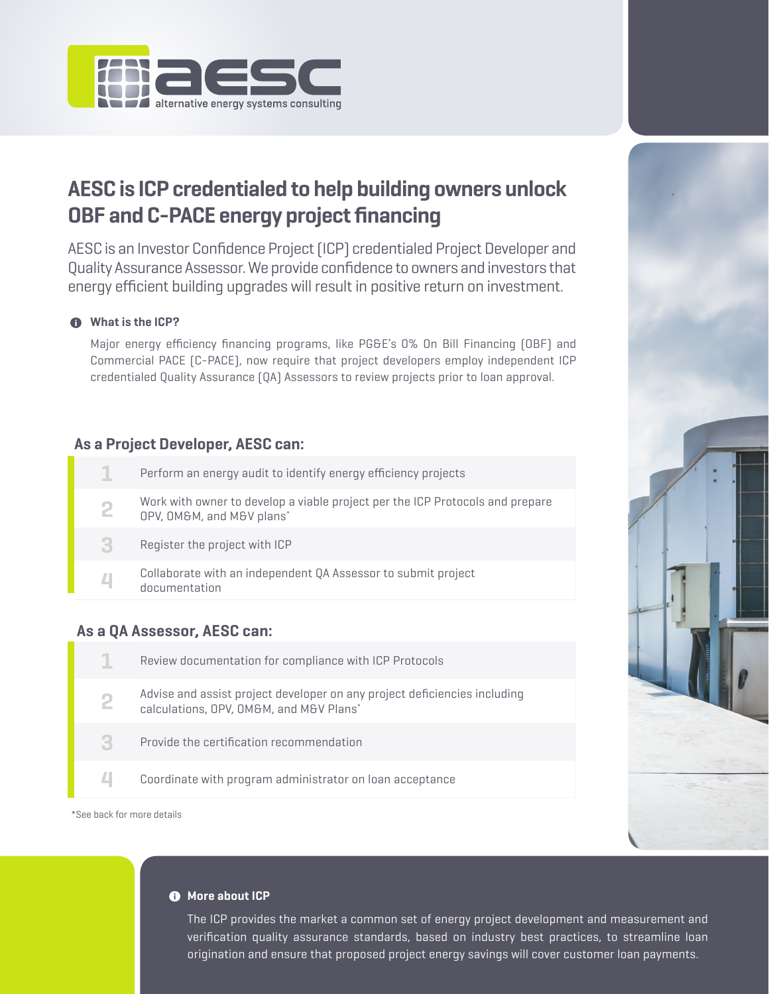

# **AESC is ICP credentialed to help building owners unlock OBF and C-PACE energy project financing**

AESC is an Investor Confidence Project (ICP) credentialed Project Developer and Quality Assurance Assessor. We provide confidence to owners and investors that energy efficient building upgrades will result in positive return on investment.

## *M* What is the ICP?

Major energy efficiency financing programs, like PG&E's 0% On Bill Financing (OBF) and Commercial PACE (C-PACE), now require that project developers employ independent ICP credentialed Quality Assurance (QA) Assessors to review projects prior to loan approval.

# **As a Project Developer, AESC can:**

|   | Perform an energy audit to identify energy efficiency projects                                             |
|---|------------------------------------------------------------------------------------------------------------|
|   | Work with owner to develop a viable project per the ICP Protocols and prepare<br>OPV, OM&M, and M&V plans* |
| З | Register the project with ICP                                                                              |
|   | Collaborate with an independent QA Assessor to submit project<br>documentation                             |
|   |                                                                                                            |

# **As a QA Assessor, AESC can:**



\*See back for more details



#### $\bullet$  More about ICP

The ICP provides the market a common set of energy project development and measurement and verification quality assurance standards, based on industry best practices, to streamline loan origination and ensure that proposed project energy savings will cover customer loan payments.